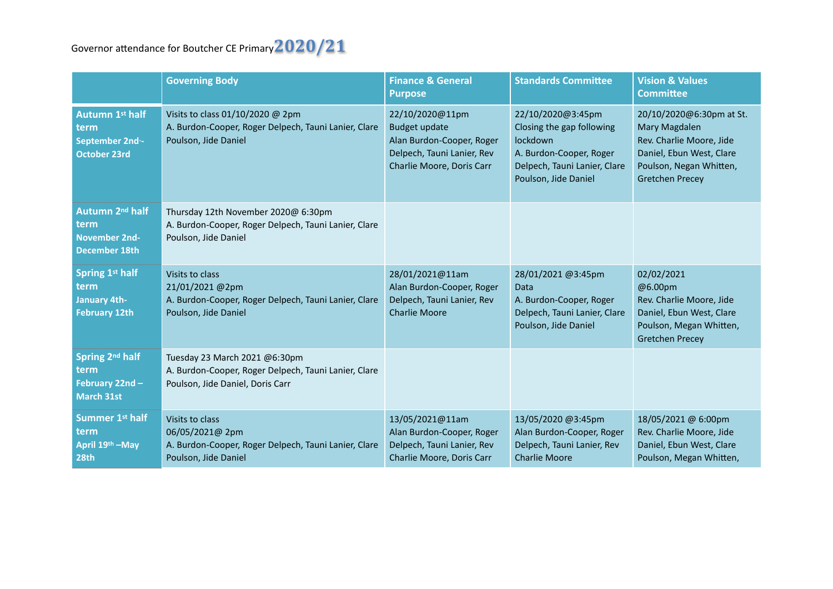## Governor attendance for Boutcher CE Primary  $2020/21$

|                                                                                     | <b>Governing Body</b>                                                                                                     | <b>Finance &amp; General</b><br><b>Purpose</b>                                                                                  | <b>Standards Committee</b>                                                                                                                           | <b>Vision &amp; Values</b><br><b>Committee</b>                                                                                                         |
|-------------------------------------------------------------------------------------|---------------------------------------------------------------------------------------------------------------------------|---------------------------------------------------------------------------------------------------------------------------------|------------------------------------------------------------------------------------------------------------------------------------------------------|--------------------------------------------------------------------------------------------------------------------------------------------------------|
| <b>Autumn 1st half</b><br>term<br>September 2nd-<br><b>October 23rd</b>             | Visits to class 01/10/2020 @ 2pm<br>A. Burdon-Cooper, Roger Delpech, Tauni Lanier, Clare<br>Poulson, Jide Daniel          | 22/10/2020@11pm<br><b>Budget update</b><br>Alan Burdon-Cooper, Roger<br>Delpech, Tauni Lanier, Rev<br>Charlie Moore, Doris Carr | 22/10/2020@3:45pm<br>Closing the gap following<br><b>lockdown</b><br>A. Burdon-Cooper, Roger<br>Delpech, Tauni Lanier, Clare<br>Poulson, Jide Daniel | 20/10/2020@6:30pm at St.<br>Mary Magdalen<br>Rev. Charlie Moore, Jide<br>Daniel, Ebun West, Clare<br>Poulson, Negan Whitten,<br><b>Gretchen Precey</b> |
| Autumn 2 <sup>nd</sup> half<br>term<br><b>November 2nd-</b><br><b>December 18th</b> | Thursday 12th November 2020@ 6:30pm<br>A. Burdon-Cooper, Roger Delpech, Tauni Lanier, Clare<br>Poulson, Jide Daniel       |                                                                                                                                 |                                                                                                                                                      |                                                                                                                                                        |
| Spring 1st half<br>term<br><b>January 4th-</b><br><b>February 12th</b>              | Visits to class<br>21/01/2021@2pm<br>A. Burdon-Cooper, Roger Delpech, Tauni Lanier, Clare<br>Poulson, Jide Daniel         | 28/01/2021@11am<br>Alan Burdon-Cooper, Roger<br>Delpech, Tauni Lanier, Rev<br><b>Charlie Moore</b>                              | 28/01/2021 @3:45pm<br><b>Data</b><br>A. Burdon-Cooper, Roger<br>Delpech, Tauni Lanier, Clare<br>Poulson, Jide Daniel                                 | 02/02/2021<br>@6.00pm<br>Rev. Charlie Moore, Jide<br>Daniel, Ebun West, Clare<br>Poulson, Megan Whitten,<br><b>Gretchen Precey</b>                     |
| Spring 2nd half<br>term<br>February 22nd -<br><b>March 31st</b>                     | Tuesday 23 March 2021 @6:30pm<br>A. Burdon-Cooper, Roger Delpech, Tauni Lanier, Clare<br>Poulson, Jide Daniel, Doris Carr |                                                                                                                                 |                                                                                                                                                      |                                                                                                                                                        |
| Summer 1st half<br>term<br>April 19th - May<br>28th                                 | Visits to class<br>06/05/2021@ 2pm<br>A. Burdon-Cooper, Roger Delpech, Tauni Lanier, Clare<br>Poulson, Jide Daniel        | 13/05/2021@11am<br>Alan Burdon-Cooper, Roger<br>Delpech, Tauni Lanier, Rev<br>Charlie Moore, Doris Carr                         | 13/05/2020 @3:45pm<br>Alan Burdon-Cooper, Roger<br>Delpech, Tauni Lanier, Rev<br><b>Charlie Moore</b>                                                | 18/05/2021 @ 6:00pm<br>Rev. Charlie Moore, Jide<br>Daniel, Ebun West, Clare<br>Poulson, Megan Whitten,                                                 |